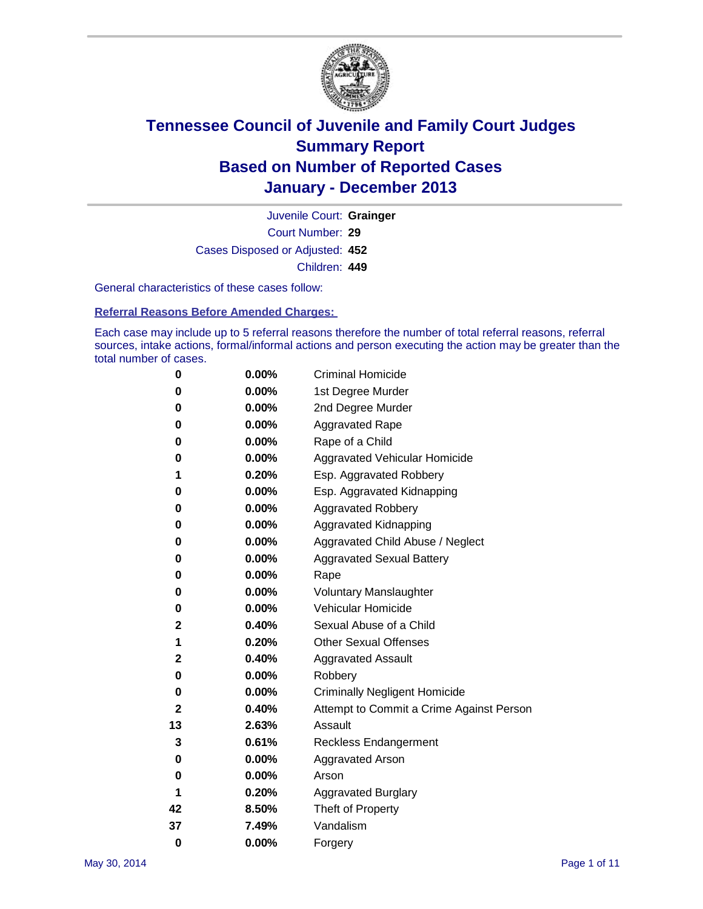

Court Number: **29** Juvenile Court: **Grainger** Cases Disposed or Adjusted: **452** Children: **449**

General characteristics of these cases follow:

**Referral Reasons Before Amended Charges:** 

Each case may include up to 5 referral reasons therefore the number of total referral reasons, referral sources, intake actions, formal/informal actions and person executing the action may be greater than the total number of cases.

| 0        | 0.00%    | <b>Criminal Homicide</b>                 |
|----------|----------|------------------------------------------|
| 0        | 0.00%    | 1st Degree Murder                        |
| 0        | 0.00%    | 2nd Degree Murder                        |
| 0        | $0.00\%$ | <b>Aggravated Rape</b>                   |
| 0        | 0.00%    | Rape of a Child                          |
| 0        | 0.00%    | <b>Aggravated Vehicular Homicide</b>     |
| 1        | 0.20%    | Esp. Aggravated Robbery                  |
| 0        | 0.00%    | Esp. Aggravated Kidnapping               |
| 0        | 0.00%    | <b>Aggravated Robbery</b>                |
| 0        | 0.00%    | Aggravated Kidnapping                    |
| 0        | 0.00%    | Aggravated Child Abuse / Neglect         |
| 0        | 0.00%    | <b>Aggravated Sexual Battery</b>         |
| 0        | 0.00%    | Rape                                     |
| 0        | 0.00%    | <b>Voluntary Manslaughter</b>            |
| 0        | 0.00%    | Vehicular Homicide                       |
| 2        | 0.40%    | Sexual Abuse of a Child                  |
| 1        | 0.20%    | <b>Other Sexual Offenses</b>             |
| 2        | 0.40%    | <b>Aggravated Assault</b>                |
| 0        | 0.00%    | Robbery                                  |
| 0        | 0.00%    | <b>Criminally Negligent Homicide</b>     |
| 2        | 0.40%    | Attempt to Commit a Crime Against Person |
| 13       | 2.63%    | Assault                                  |
| 3        | 0.61%    | <b>Reckless Endangerment</b>             |
| 0        | 0.00%    | <b>Aggravated Arson</b>                  |
| 0        | 0.00%    | Arson                                    |
| 1        | 0.20%    | <b>Aggravated Burglary</b>               |
| 42       | 8.50%    | Theft of Property                        |
| 37       | 7.49%    | Vandalism                                |
| $\bf{0}$ | 0.00%    | Forgery                                  |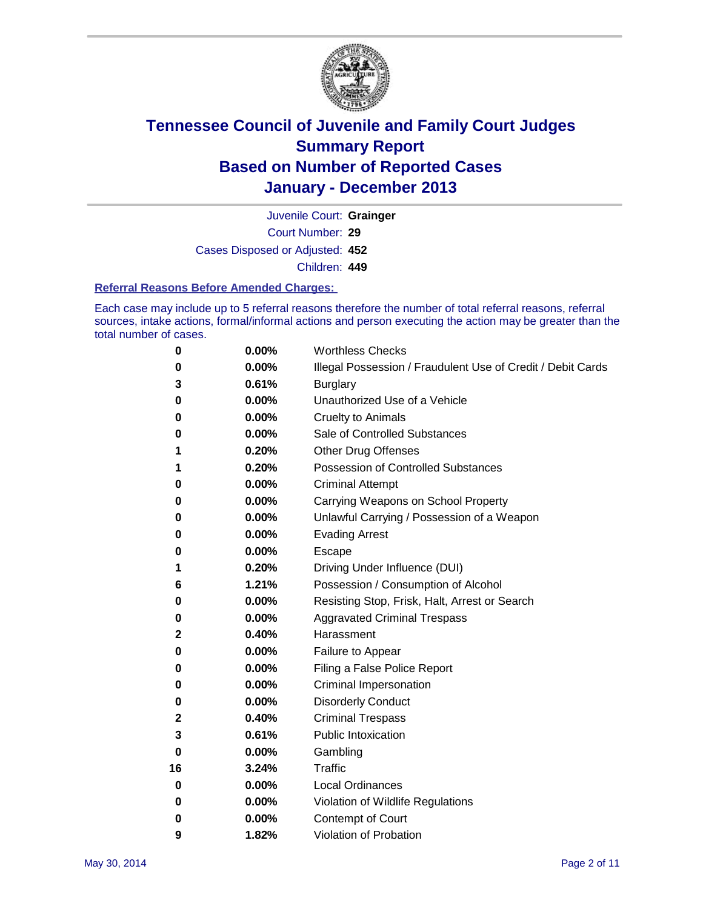

Court Number: **29** Juvenile Court: **Grainger** Cases Disposed or Adjusted: **452** Children: **449**

#### **Referral Reasons Before Amended Charges:**

Each case may include up to 5 referral reasons therefore the number of total referral reasons, referral sources, intake actions, formal/informal actions and person executing the action may be greater than the total number of cases.

| 0  | 0.00%    | <b>Worthless Checks</b>                                     |
|----|----------|-------------------------------------------------------------|
| 0  | 0.00%    | Illegal Possession / Fraudulent Use of Credit / Debit Cards |
| 3  | 0.61%    | <b>Burglary</b>                                             |
| 0  | 0.00%    | Unauthorized Use of a Vehicle                               |
| 0  | 0.00%    | <b>Cruelty to Animals</b>                                   |
| 0  | 0.00%    | Sale of Controlled Substances                               |
| 1  | 0.20%    | <b>Other Drug Offenses</b>                                  |
| 1  | 0.20%    | <b>Possession of Controlled Substances</b>                  |
| 0  | $0.00\%$ | <b>Criminal Attempt</b>                                     |
| 0  | 0.00%    | Carrying Weapons on School Property                         |
| 0  | 0.00%    | Unlawful Carrying / Possession of a Weapon                  |
| 0  | 0.00%    | <b>Evading Arrest</b>                                       |
| 0  | 0.00%    | Escape                                                      |
| 1  | 0.20%    | Driving Under Influence (DUI)                               |
| 6  | 1.21%    | Possession / Consumption of Alcohol                         |
| 0  | 0.00%    | Resisting Stop, Frisk, Halt, Arrest or Search               |
| 0  | 0.00%    | <b>Aggravated Criminal Trespass</b>                         |
| 2  | 0.40%    | Harassment                                                  |
| 0  | 0.00%    | Failure to Appear                                           |
| 0  | 0.00%    | Filing a False Police Report                                |
| 0  | 0.00%    | Criminal Impersonation                                      |
| 0  | 0.00%    | <b>Disorderly Conduct</b>                                   |
| 2  | 0.40%    | <b>Criminal Trespass</b>                                    |
| 3  | 0.61%    | <b>Public Intoxication</b>                                  |
| 0  | 0.00%    | Gambling                                                    |
| 16 | 3.24%    | Traffic                                                     |
| 0  | 0.00%    | <b>Local Ordinances</b>                                     |
| 0  | 0.00%    | Violation of Wildlife Regulations                           |
| 0  | 0.00%    | Contempt of Court                                           |
| 9  | 1.82%    | Violation of Probation                                      |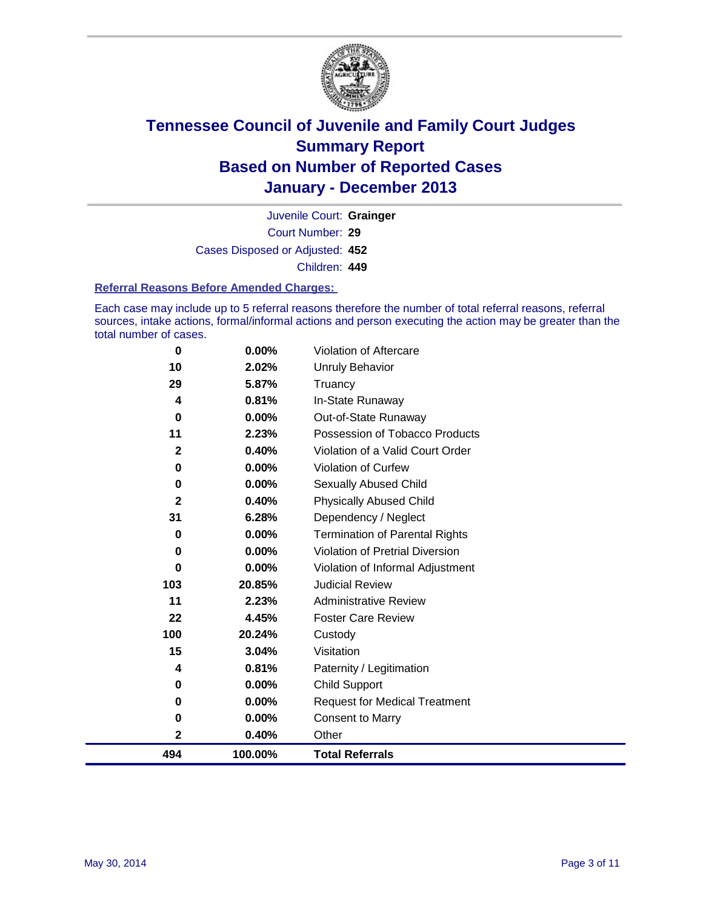

Court Number: **29** Juvenile Court: **Grainger** Cases Disposed or Adjusted: **452** Children: **449**

#### **Referral Reasons Before Amended Charges:**

Each case may include up to 5 referral reasons therefore the number of total referral reasons, referral sources, intake actions, formal/informal actions and person executing the action may be greater than the total number of cases.

| 494              | 100.00%  | <b>Total Referrals</b>                |
|------------------|----------|---------------------------------------|
| 2                | 0.40%    | Other                                 |
| 0                | 0.00%    | <b>Consent to Marry</b>               |
| 0                | 0.00%    | <b>Request for Medical Treatment</b>  |
| 0                | 0.00%    | <b>Child Support</b>                  |
| 4                | 0.81%    | Paternity / Legitimation              |
| 15               | 3.04%    | Visitation                            |
| 100              | 20.24%   | Custody                               |
| 22               | 4.45%    | <b>Foster Care Review</b>             |
| 11               | 2.23%    | <b>Administrative Review</b>          |
| 103              | 20.85%   | <b>Judicial Review</b>                |
| $\Omega$         | 0.00%    | Violation of Informal Adjustment      |
| $\bf{0}$         | 0.00%    | Violation of Pretrial Diversion       |
| $\bf{0}$         | 0.00%    | <b>Termination of Parental Rights</b> |
| 31               | 6.28%    | Dependency / Neglect                  |
| $\mathbf{2}$     | 0.40%    | <b>Physically Abused Child</b>        |
| $\bf{0}$         | 0.00%    | Sexually Abused Child                 |
| 0                | 0.00%    | Violation of Curfew                   |
| $\boldsymbol{2}$ | 0.40%    | Violation of a Valid Court Order      |
| 11               | 2.23%    | Possession of Tobacco Products        |
| 0                | $0.00\%$ | Out-of-State Runaway                  |
| 4                | 0.81%    | In-State Runaway                      |
| 29               | 5.87%    | Truancy                               |
| 10               | 2.02%    | Unruly Behavior                       |
| $\bf{0}$         | 0.00%    | Violation of Aftercare                |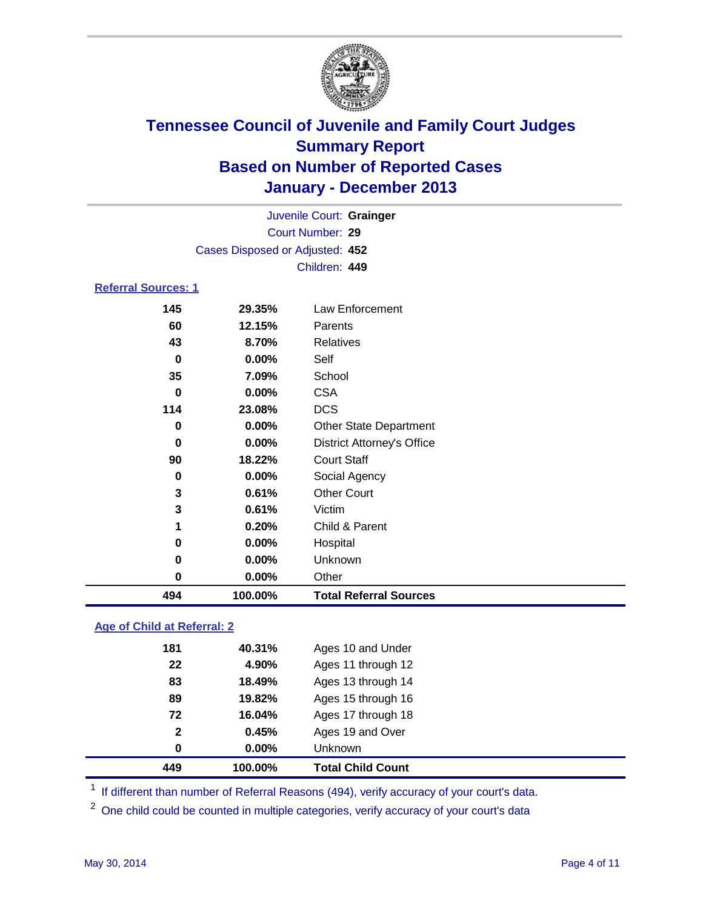

|                            |                                 | Juvenile Court: Grainger          |  |  |
|----------------------------|---------------------------------|-----------------------------------|--|--|
|                            |                                 | Court Number: 29                  |  |  |
|                            | Cases Disposed or Adjusted: 452 |                                   |  |  |
|                            |                                 | Children: 449                     |  |  |
| <b>Referral Sources: 1</b> |                                 |                                   |  |  |
| 145                        | 29.35%                          | Law Enforcement                   |  |  |
| 60                         | 12.15%                          | Parents                           |  |  |
| 43                         | 8.70%                           | Relatives                         |  |  |
| 0                          | $0.00\%$                        | Self                              |  |  |
| 35                         | 7.09%                           | School                            |  |  |
| 0                          | <b>CSA</b><br>0.00%             |                                   |  |  |
| 114                        | 23.08%                          | <b>DCS</b>                        |  |  |
| 0                          | $0.00\%$                        | <b>Other State Department</b>     |  |  |
| 0                          | 0.00%                           | <b>District Attorney's Office</b> |  |  |
| 90                         | 18.22%                          | <b>Court Staff</b>                |  |  |
| 0                          | $0.00\%$                        | Social Agency                     |  |  |
| 3                          | 0.61%                           | <b>Other Court</b>                |  |  |
| 3                          | 0.61%                           | Victim                            |  |  |
| 1                          | 0.20%                           | Child & Parent                    |  |  |
| 0                          | $0.00\%$                        | Hospital                          |  |  |
| 0                          | $0.00\%$                        | Unknown                           |  |  |
| 0                          | $0.00\%$                        | Other                             |  |  |

#### **Age of Child at Referral: 2**

| 449          | 100.00% | <b>Total Child Count</b> |
|--------------|---------|--------------------------|
| 0            | 0.00%   | <b>Unknown</b>           |
| $\mathbf{2}$ | 0.45%   | Ages 19 and Over         |
| 72           | 16.04%  | Ages 17 through 18       |
| 89           | 19.82%  | Ages 15 through 16       |
| 83           | 18.49%  | Ages 13 through 14       |
| 22           | 4.90%   | Ages 11 through 12       |
| 181          | 40.31%  | Ages 10 and Under        |
|              |         |                          |

<sup>1</sup> If different than number of Referral Reasons (494), verify accuracy of your court's data.

<sup>2</sup> One child could be counted in multiple categories, verify accuracy of your court's data

**100.00% Total Referral Sources**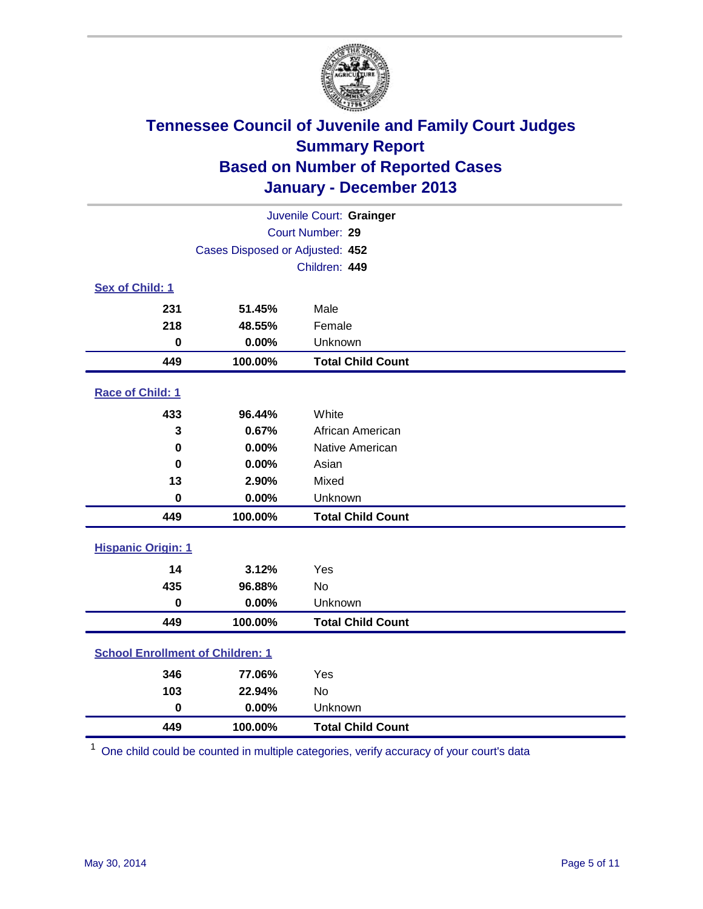

| Juvenile Court: Grainger                |                                 |                          |  |  |  |
|-----------------------------------------|---------------------------------|--------------------------|--|--|--|
| Court Number: 29                        |                                 |                          |  |  |  |
|                                         | Cases Disposed or Adjusted: 452 |                          |  |  |  |
|                                         |                                 | Children: 449            |  |  |  |
| Sex of Child: 1                         |                                 |                          |  |  |  |
| 231                                     | 51.45%                          | Male                     |  |  |  |
| 218                                     | 48.55%                          | Female                   |  |  |  |
| $\bf{0}$                                | 0.00%                           | Unknown                  |  |  |  |
| 449                                     | 100.00%                         | <b>Total Child Count</b> |  |  |  |
| Race of Child: 1                        |                                 |                          |  |  |  |
| 433                                     | 96.44%                          | White                    |  |  |  |
| 3                                       | 0.67%                           | African American         |  |  |  |
| $\bf{0}$                                | 0.00%                           | Native American          |  |  |  |
| 0                                       | 0.00%                           | Asian                    |  |  |  |
| 13                                      | 2.90%                           | Mixed                    |  |  |  |
| $\bf{0}$                                | 0.00%                           | Unknown                  |  |  |  |
| 449                                     | 100.00%                         | <b>Total Child Count</b> |  |  |  |
| <b>Hispanic Origin: 1</b>               |                                 |                          |  |  |  |
| 14                                      | 3.12%                           | Yes                      |  |  |  |
| 435                                     | 96.88%                          | <b>No</b>                |  |  |  |
| $\mathbf 0$                             | 0.00%                           | Unknown                  |  |  |  |
| 449                                     | 100.00%                         | <b>Total Child Count</b> |  |  |  |
| <b>School Enrollment of Children: 1</b> |                                 |                          |  |  |  |
| 346                                     | 77.06%                          | Yes                      |  |  |  |
| 103                                     | 22.94%                          | <b>No</b>                |  |  |  |
| $\bf{0}$                                | 0.00%                           | Unknown                  |  |  |  |
| 449                                     | 100.00%                         | <b>Total Child Count</b> |  |  |  |

One child could be counted in multiple categories, verify accuracy of your court's data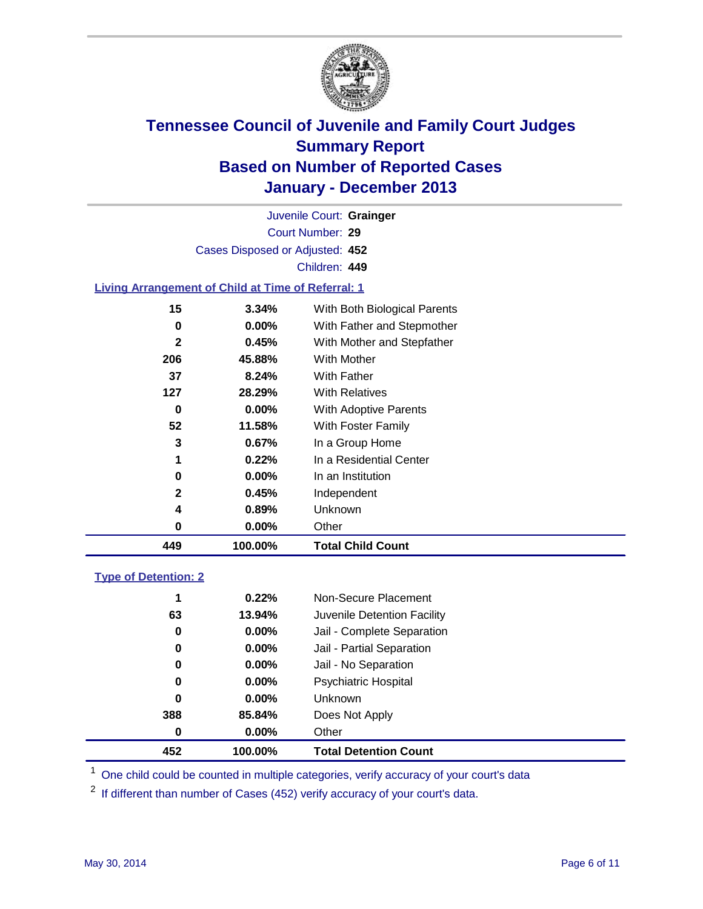

Court Number: **29** Juvenile Court: **Grainger** Cases Disposed or Adjusted: **452** Children: **449**

#### **Living Arrangement of Child at Time of Referral: 1**

| 449          | 100.00%  | <b>Total Child Count</b>     |
|--------------|----------|------------------------------|
| 0            | $0.00\%$ | Other                        |
| 4            | 0.89%    | Unknown                      |
| 2            | 0.45%    | Independent                  |
| 0            | $0.00\%$ | In an Institution            |
| 1            | 0.22%    | In a Residential Center      |
| 3            | 0.67%    | In a Group Home              |
| 52           | 11.58%   | With Foster Family           |
| 0            | 0.00%    | <b>With Adoptive Parents</b> |
| 127          | 28.29%   | <b>With Relatives</b>        |
| 37           | 8.24%    | With Father                  |
| 206          | 45.88%   | With Mother                  |
| $\mathbf{2}$ | 0.45%    | With Mother and Stepfather   |
| 0            | $0.00\%$ | With Father and Stepmother   |
| 15           | 3.34%    | With Both Biological Parents |
|              |          |                              |

#### **Type of Detention: 2**

| 452 | 100.00%  | <b>Total Detention Count</b> |  |
|-----|----------|------------------------------|--|
| 0   | 0.00%    | Other                        |  |
| 388 | 85.84%   | Does Not Apply               |  |
| 0   | $0.00\%$ | <b>Unknown</b>               |  |
| 0   | $0.00\%$ | <b>Psychiatric Hospital</b>  |  |
| 0   | 0.00%    | Jail - No Separation         |  |
| 0   | 0.00%    | Jail - Partial Separation    |  |
| 0   | 0.00%    | Jail - Complete Separation   |  |
| 63  | 13.94%   | Juvenile Detention Facility  |  |
| 1   | 0.22%    | Non-Secure Placement         |  |
|     |          |                              |  |

<sup>1</sup> One child could be counted in multiple categories, verify accuracy of your court's data

If different than number of Cases (452) verify accuracy of your court's data.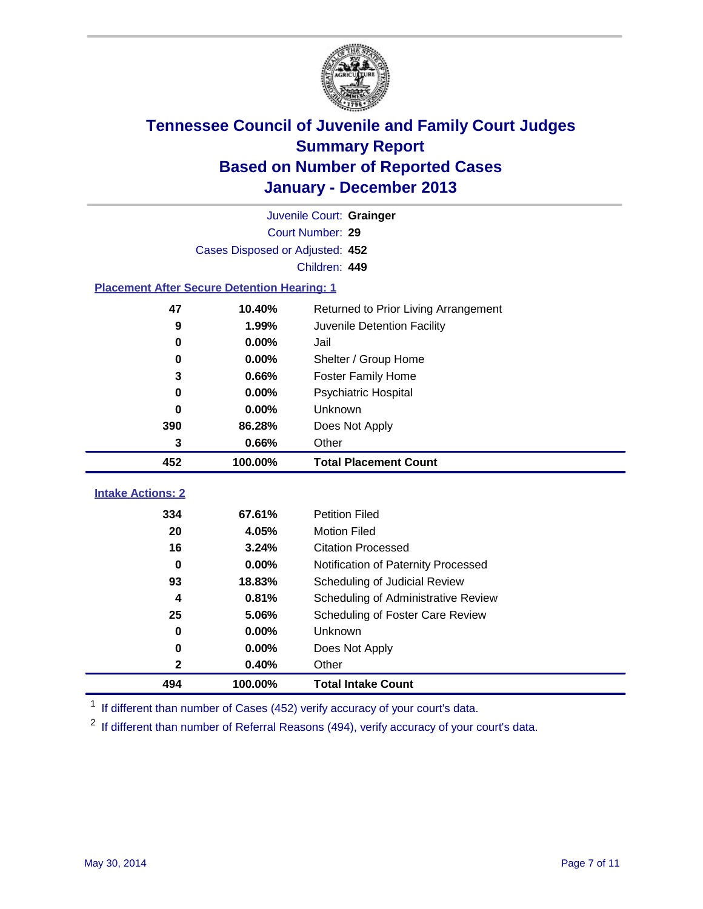

|                                                    |         | Juvenile Court: Grainger             |  |  |  |
|----------------------------------------------------|---------|--------------------------------------|--|--|--|
| Court Number: 29                                   |         |                                      |  |  |  |
| Cases Disposed or Adjusted: 452                    |         |                                      |  |  |  |
|                                                    |         | Children: 449                        |  |  |  |
| <b>Placement After Secure Detention Hearing: 1</b> |         |                                      |  |  |  |
| 47                                                 | 10.40%  | Returned to Prior Living Arrangement |  |  |  |
| 9                                                  | 1.99%   | Juvenile Detention Facility          |  |  |  |
| 0                                                  | 0.00%   | Jail                                 |  |  |  |
| $\bf{0}$                                           | 0.00%   | Shelter / Group Home                 |  |  |  |
| 3                                                  | 0.66%   | <b>Foster Family Home</b>            |  |  |  |
| 0                                                  | 0.00%   | <b>Psychiatric Hospital</b>          |  |  |  |
| 0                                                  | 0.00%   | Unknown                              |  |  |  |
| 390                                                | 86.28%  | Does Not Apply                       |  |  |  |
| 3                                                  | 0.66%   | Other                                |  |  |  |
| 452                                                | 100.00% | <b>Total Placement Count</b>         |  |  |  |
| <b>Intake Actions: 2</b>                           |         |                                      |  |  |  |
|                                                    |         |                                      |  |  |  |
| 334                                                | 67.61%  | <b>Petition Filed</b>                |  |  |  |
| 20                                                 | 4.05%   | <b>Motion Filed</b>                  |  |  |  |
| 16                                                 | 3.24%   | <b>Citation Processed</b>            |  |  |  |
| 0                                                  | 0.00%   | Notification of Paternity Processed  |  |  |  |
| 93                                                 | 18.83%  | Scheduling of Judicial Review        |  |  |  |
| 4                                                  | 0.81%   | Scheduling of Administrative Review  |  |  |  |
| 25                                                 | 5.06%   | Scheduling of Foster Care Review     |  |  |  |
| 0                                                  | 0.00%   | Unknown                              |  |  |  |
| $\bf{0}$                                           | 0.00%   | Does Not Apply                       |  |  |  |
| $\mathbf 2$                                        | 0.40%   | Other                                |  |  |  |
| 494                                                | 100.00% | <b>Total Intake Count</b>            |  |  |  |

<sup>1</sup> If different than number of Cases (452) verify accuracy of your court's data.

<sup>2</sup> If different than number of Referral Reasons (494), verify accuracy of your court's data.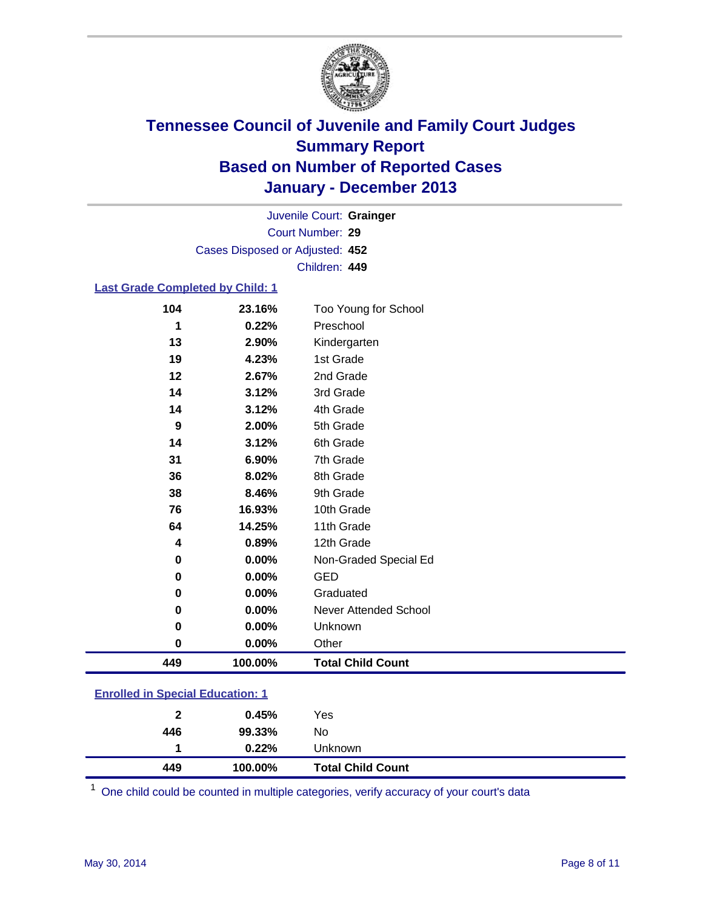

Court Number: **29** Juvenile Court: **Grainger** Cases Disposed or Adjusted: **452** Children: **449**

#### **Last Grade Completed by Child: 1**

| 104 | 23.16%  | Too Young for School     |
|-----|---------|--------------------------|
| 1   | 0.22%   | Preschool                |
| 13  | 2.90%   | Kindergarten             |
| 19  | 4.23%   | 1st Grade                |
| 12  | 2.67%   | 2nd Grade                |
| 14  | 3.12%   | 3rd Grade                |
| 14  | 3.12%   | 4th Grade                |
| 9   | 2.00%   | 5th Grade                |
| 14  | 3.12%   | 6th Grade                |
| 31  | 6.90%   | 7th Grade                |
| 36  | 8.02%   | 8th Grade                |
| 38  | 8.46%   | 9th Grade                |
| 76  | 16.93%  | 10th Grade               |
| 64  | 14.25%  | 11th Grade               |
| 4   | 0.89%   | 12th Grade               |
| 0   | 0.00%   | Non-Graded Special Ed    |
| 0   | 0.00%   | <b>GED</b>               |
| 0   | 0.00%   | Graduated                |
| 0   | 0.00%   | Never Attended School    |
| 0   | 0.00%   | Unknown                  |
| 0   | 0.00%   | Other                    |
| 449 | 100.00% | <b>Total Child Count</b> |

|  | <b>Enrolled in Special Education: 1</b> |
|--|-----------------------------------------|
|  |                                         |

| 449 | 100.00% | <b>Total Child Count</b> |  |
|-----|---------|--------------------------|--|
|     | 0.22%   | Unknown                  |  |
| 446 | 99.33%  | No                       |  |
| 2   | 0.45%   | Yes                      |  |

One child could be counted in multiple categories, verify accuracy of your court's data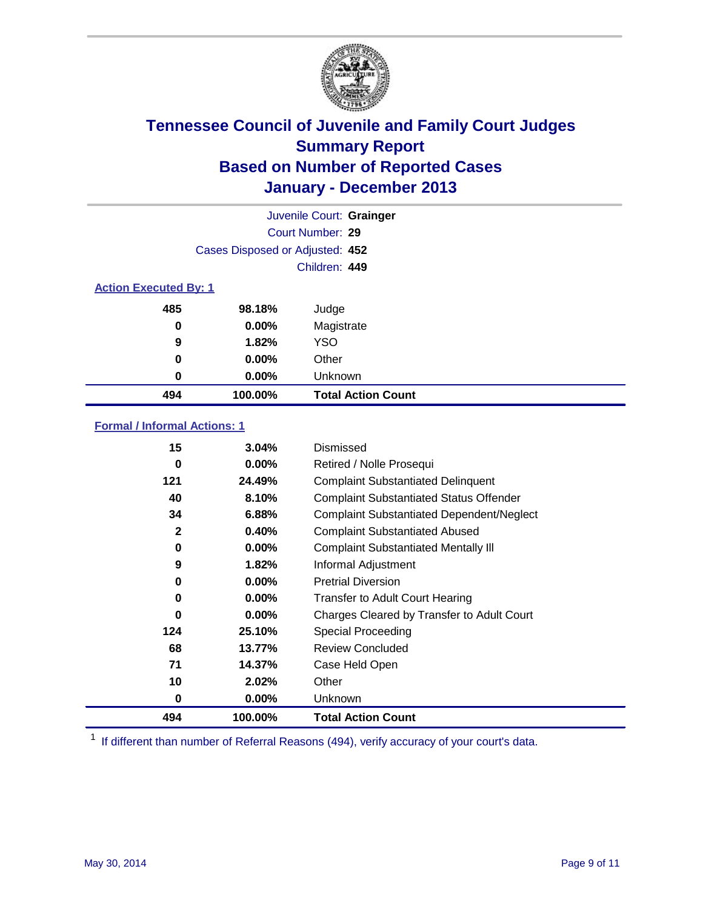

|                              |                                 | Juvenile Court: Grainger  |
|------------------------------|---------------------------------|---------------------------|
|                              |                                 | Court Number: 29          |
|                              | Cases Disposed or Adjusted: 452 |                           |
|                              |                                 | Children: 449             |
| <b>Action Executed By: 1</b> |                                 |                           |
| 485                          | 98.18%                          | Judge                     |
| 0                            | $0.00\%$                        | Magistrate                |
| 9                            | 1.82%                           | <b>YSO</b>                |
| 0                            | $0.00\%$                        | Other                     |
| 0                            | $0.00\%$                        | Unknown                   |
| 494                          | 100.00%                         | <b>Total Action Count</b> |

### **Formal / Informal Actions: 1**

| 15           | 3.04%    | Dismissed                                        |
|--------------|----------|--------------------------------------------------|
| 0            | $0.00\%$ | Retired / Nolle Prosequi                         |
| 121          | 24.49%   | <b>Complaint Substantiated Delinquent</b>        |
| 40           | 8.10%    | <b>Complaint Substantiated Status Offender</b>   |
| 34           | 6.88%    | <b>Complaint Substantiated Dependent/Neglect</b> |
| $\mathbf{2}$ | 0.40%    | <b>Complaint Substantiated Abused</b>            |
| 0            | $0.00\%$ | <b>Complaint Substantiated Mentally III</b>      |
| 9            | 1.82%    | Informal Adjustment                              |
| 0            | $0.00\%$ | <b>Pretrial Diversion</b>                        |
| 0            | $0.00\%$ | <b>Transfer to Adult Court Hearing</b>           |
| 0            | $0.00\%$ | Charges Cleared by Transfer to Adult Court       |
| 124          | 25.10%   | Special Proceeding                               |
| 68           | 13.77%   | <b>Review Concluded</b>                          |
| 71           | 14.37%   | Case Held Open                                   |
| 10           | 2.02%    | Other                                            |
| 0            | $0.00\%$ | Unknown                                          |
| 494          | 100.00%  | <b>Total Action Count</b>                        |

<sup>1</sup> If different than number of Referral Reasons (494), verify accuracy of your court's data.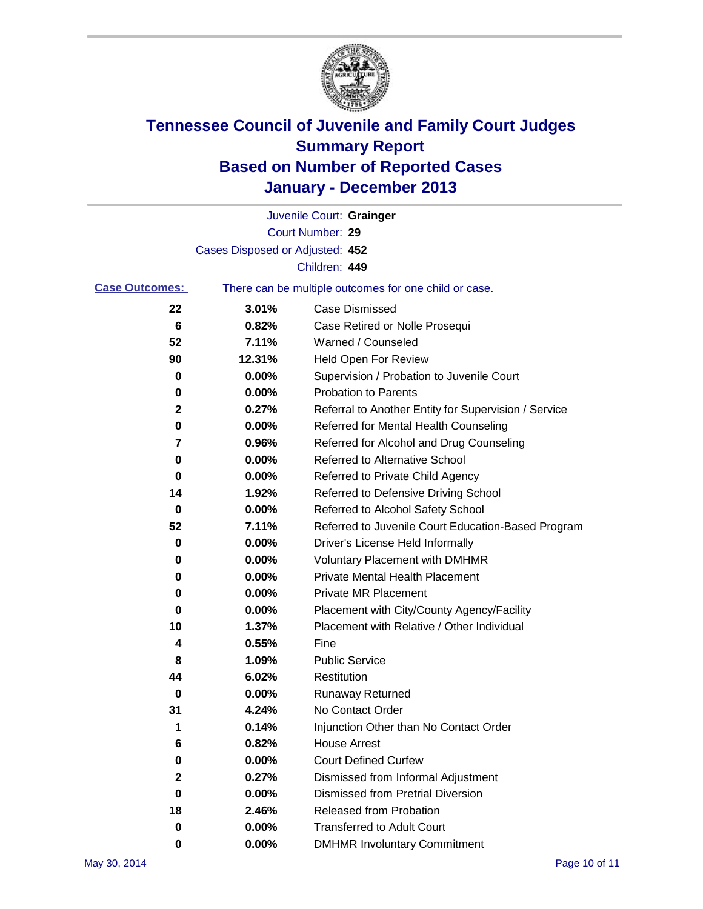

|                       |                                 | Juvenile Court: Grainger                              |
|-----------------------|---------------------------------|-------------------------------------------------------|
|                       |                                 | Court Number: 29                                      |
|                       | Cases Disposed or Adjusted: 452 |                                                       |
|                       |                                 | Children: 449                                         |
| <b>Case Outcomes:</b> |                                 | There can be multiple outcomes for one child or case. |
| 22                    | 3.01%                           | Case Dismissed                                        |
| 6                     | 0.82%                           | Case Retired or Nolle Prosequi                        |
| 52                    | 7.11%                           | Warned / Counseled                                    |
| 90                    | 12.31%                          | <b>Held Open For Review</b>                           |
| 0                     | 0.00%                           | Supervision / Probation to Juvenile Court             |
| 0                     | 0.00%                           | <b>Probation to Parents</b>                           |
| $\mathbf{2}$          | 0.27%                           | Referral to Another Entity for Supervision / Service  |
| 0                     | 0.00%                           | Referred for Mental Health Counseling                 |
| 7                     | 0.96%                           | Referred for Alcohol and Drug Counseling              |
| 0                     | 0.00%                           | <b>Referred to Alternative School</b>                 |
| 0                     | 0.00%                           | Referred to Private Child Agency                      |
| 14                    | 1.92%                           | Referred to Defensive Driving School                  |
| 0                     | 0.00%                           | Referred to Alcohol Safety School                     |
| 52                    | 7.11%                           | Referred to Juvenile Court Education-Based Program    |
| 0                     | 0.00%                           | Driver's License Held Informally                      |
| 0                     | 0.00%                           | <b>Voluntary Placement with DMHMR</b>                 |
| 0                     | 0.00%                           | <b>Private Mental Health Placement</b>                |
| 0                     | 0.00%                           | <b>Private MR Placement</b>                           |
| 0                     | 0.00%                           | Placement with City/County Agency/Facility            |
| 10                    | 1.37%                           | Placement with Relative / Other Individual            |
| 4                     | 0.55%                           | Fine                                                  |
| 8                     | 1.09%                           | <b>Public Service</b>                                 |
| 44                    | 6.02%                           | Restitution                                           |
| 0                     | 0.00%                           | <b>Runaway Returned</b>                               |
| 31                    | 4.24%                           | No Contact Order                                      |
| 1                     | 0.14%                           | Injunction Other than No Contact Order                |
| 6                     | 0.82%                           | <b>House Arrest</b>                                   |
| 0                     | 0.00%                           | <b>Court Defined Curfew</b>                           |
| 2                     | 0.27%                           | Dismissed from Informal Adjustment                    |
| 0                     | 0.00%                           | Dismissed from Pretrial Diversion                     |
| 18                    | 2.46%                           | Released from Probation                               |
| 0                     | 0.00%                           | <b>Transferred to Adult Court</b>                     |
| 0                     | $0.00\%$                        | <b>DMHMR Involuntary Commitment</b>                   |